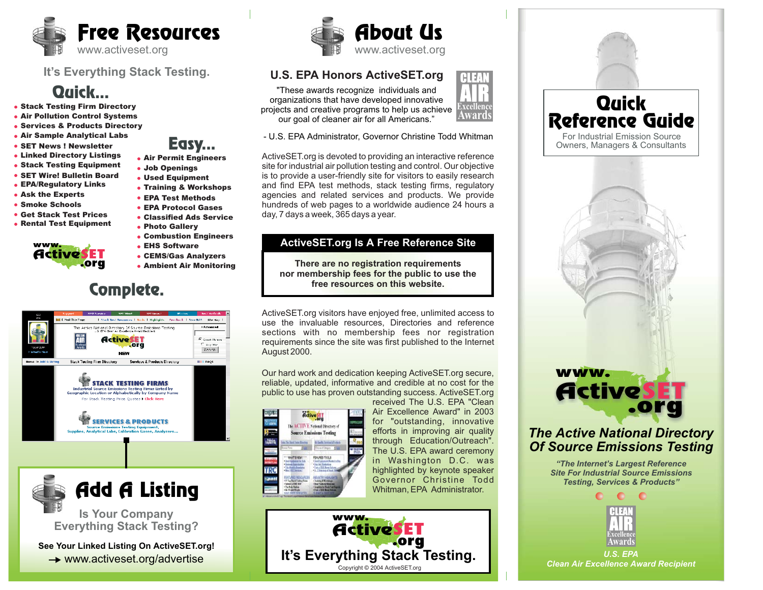

#### **It's Everything Stack Testing.**

## Quick...

- Stack Testing Firm Directory
- Air Pollution Control Systems
- Services & Products Directory
- Air Sample Analytical Labs
- **SET News ! Newsletter**
- Linked Directory Listings
- Stack Testing Equipment
- SET Wire! Bulletin Board
- EPA/Regulatory Links
- Ask the Experts
- **Smoke Schools**
- Get Stack Test Prices
- Rental Test Equipment



- EHS Software
- CEMS/Gas Analyzers
- Ambient Air Monitoring



**Is Your Company** Add A Listing

**Everything Stack Testing?**

**See Your Linked Listing On ActiveSET.org! → www.activeset.org/advertise** 



### **U.S. EPA Honors ActiveSET.org**

"These awards recognize individuals and organizations that have developed innovative projects and creative programs to help us achieve our goal of cleaner air for all Americans."



- U.S. EPA Administrator, Governor Christine Todd Whitman

ActiveSET.org is devoted to providing an interactive reference site for industrial air pollution testing and control. Our objective is to provide <sup>a</sup> user-friendly site for visitors to easily research and find EPA test methods, stack testing firms, regulatory agencies and related services and products. We provide hundreds of web pages to <sup>a</sup> worldwide audience 24 hours <sup>a</sup> day, 7 days <sup>a</sup> week, 365 days <sup>a</sup> year.

#### **ActiveSET.org Is A Free Reference Site**

**There are no registration requirements nor membership fees for the public to use the free resources on this website.**

ActiveSET.org visitors have enjoyed free, unlimited access to use the invaluable resources, Directories and reference sections with no membership fees nor registration requirements since the site was first published to the Internet August 2000.

Our hard work and dedication keeping ActiveSET.org secure, reliable, updated, informative and credible at no cost for the public to use has proven outstanding success. ActiveSET.org received The U.S. EPA "Clean



Air Excellence Award" in 2003for "outstanding, innovative efforts in improving air quality through Education/Outreach". The U.S. EPA award ceremony in Washington D.C. was highlighted by keynote speaker Governor Christine ToddWhitman, EPA Administrator.





 $\bullet$ **ExcellenceAwards**

*U.S. EPA Clean Air Excellence Award Recipient*

- Easy...
- Air Permit Engineers
- Used Equipment Job Openings
- Training & Workshops
- EPA Test Methods
- EPA Protocol Gases
- Classified Ads Service
- Photo Gallery
- Combustion Engineers